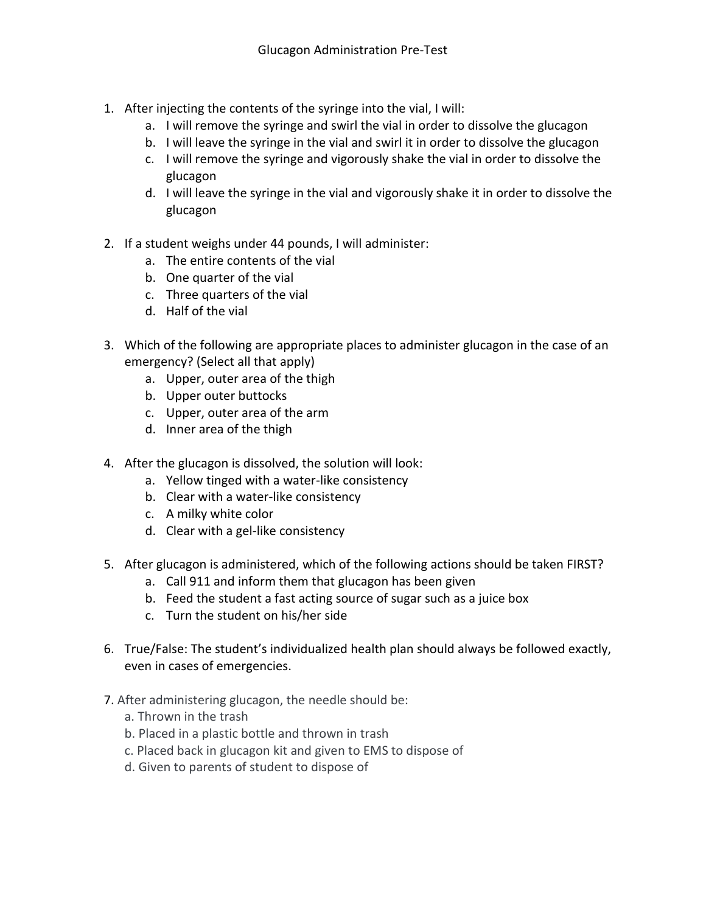- 1. After injecting the contents of the syringe into the vial, I will:
	- a. I will remove the syringe and swirl the vial in order to dissolve the glucagon
	- b. I will leave the syringe in the vial and swirl it in order to dissolve the glucagon
	- c. I will remove the syringe and vigorously shake the vial in order to dissolve the glucagon
	- d. I will leave the syringe in the vial and vigorously shake it in order to dissolve the glucagon
- 2. If a student weighs under 44 pounds, I will administer:
	- a. The entire contents of the vial
	- b. One quarter of the vial
	- c. Three quarters of the vial
	- d. Half of the vial
- 3. Which of the following are appropriate places to administer glucagon in the case of an emergency? (Select all that apply)
	- a. Upper, outer area of the thigh
	- b. Upper outer buttocks
	- c. Upper, outer area of the arm
	- d. Inner area of the thigh
- 4. After the glucagon is dissolved, the solution will look:
	- a. Yellow tinged with a water-like consistency
	- b. Clear with a water-like consistency
	- c. A milky white color
	- d. Clear with a gel-like consistency
- 5. After glucagon is administered, which of the following actions should be taken FIRST?
	- a. Call 911 and inform them that glucagon has been given
	- b. Feed the student a fast acting source of sugar such as a juice box
	- c. Turn the student on his/her side
- 6. True/False: The student's individualized health plan should always be followed exactly, even in cases of emergencies.
- 7. After administering glucagon, the needle should be:
	- a. Thrown in the trash
	- b. Placed in a plastic bottle and thrown in trash
	- c. Placed back in glucagon kit and given to EMS to dispose of
	- d. Given to parents of student to dispose of